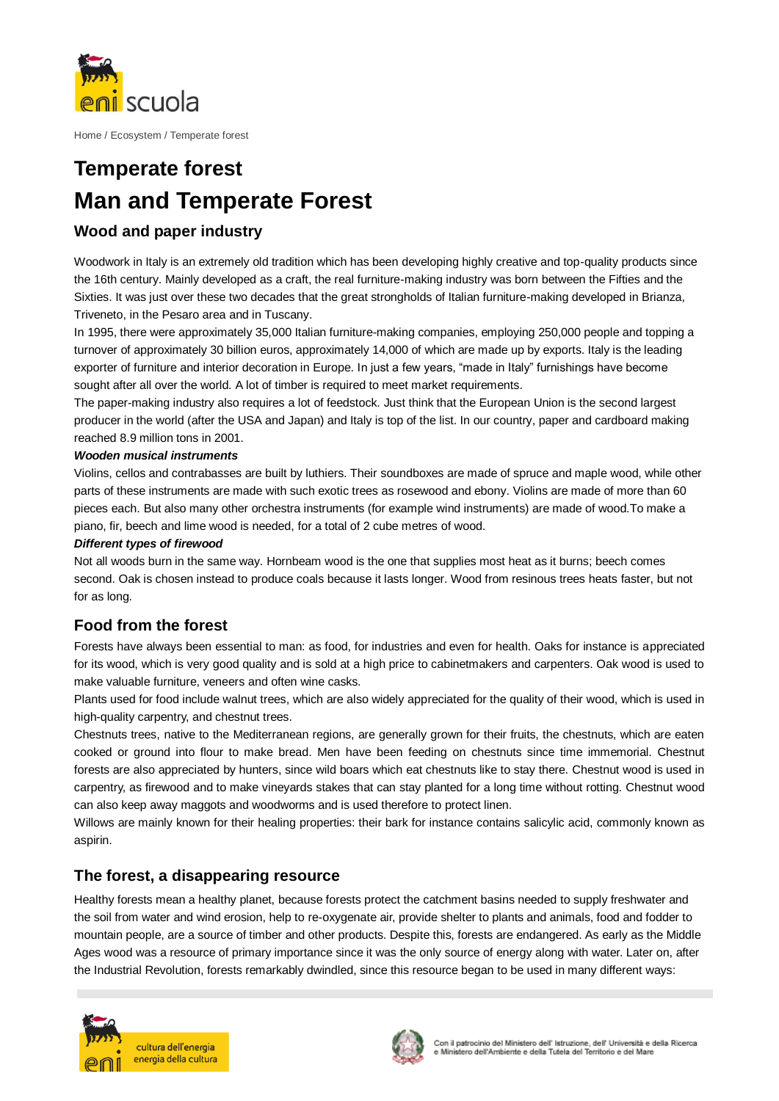

Home / Ecosystem / Temperate forest

# **Temperate forest Man and Temperate Forest**

## **Wood and paper industry**

Woodwork in Italy is an extremely old tradition which has been developing highly creative and top-quality products since the 16th century. Mainly developed as a craft, the real furniture-making industry was born between the Fifties and the Sixties. It was just over these two decades that the great strongholds of Italian furniture-making developed in Brianza, Triveneto, in the Pesaro area and in Tuscany.

In 1995, there were approximately 35,000 Italian furniture-making companies, employing 250,000 people and topping a turnover of approximately 30 billion euros, approximately 14,000 of which are made up by exports. Italy is the leading exporter of furniture and interior decoration in Europe. In just a few years, "made in Italy" furnishings have become sought after all over the world. A lot of timber is required to meet market requirements.

The paper-making industry also requires a lot of feedstock. Just think that the European Union is the second largest producer in the world (after the USA and Japan) and Italy is top of the list. In our country, paper and cardboard making reached 8.9 million tons in 2001.

#### *Wooden musical instruments*

Violins, cellos and contrabasses are built by luthiers. Their soundboxes are made of spruce and maple wood, while other parts of these instruments are made with such exotic trees as rosewood and ebony. Violins are made of more than 60 pieces each. But also many other orchestra instruments (for example wind instruments) are made of wood.To make a piano, fir, beech and lime wood is needed, for a total of 2 cube metres of wood.

#### *Different types of firewood*

Not all woods burn in the same way. Hornbeam wood is the one that supplies most heat as it burns; beech comes second. Oak is chosen instead to produce coals because it lasts longer. Wood from resinous trees heats faster, but not for as long.

## **Food from the forest**

Forests have always been essential to man: as food, for industries and even for health. Oaks for instance is appreciated for its wood, which is very good quality and is sold at a high price to cabinetmakers and carpenters. Oak wood is used to make valuable furniture, veneers and often wine casks.

Plants used for food include walnut trees, which are also widely appreciated for the quality of their wood, which is used in high-quality carpentry, and chestnut trees.

Chestnuts trees, native to the Mediterranean regions, are generally grown for their fruits, the chestnuts, which are eaten cooked or ground into flour to make bread. Men have been feeding on chestnuts since time immemorial. Chestnut forests are also appreciated by hunters, since wild boars which eat chestnuts like to stay there. Chestnut wood is used in carpentry, as firewood and to make vineyards stakes that can stay planted for a long time without rotting. Chestnut wood can also keep away maggots and woodworms and is used therefore to protect linen.

Willows are mainly known for their healing properties: their bark for instance contains salicylic acid, commonly known as aspirin.

## **The forest, a disappearing resource**

Healthy forests mean a healthy planet, because forests protect the catchment basins needed to supply freshwater and the soil from water and wind erosion, help to re-oxygenate air, provide shelter to plants and animals, food and fodder to mountain people, are a source of timber and other products. Despite this, forests are endangered. As early as the Middle Ages wood was a resource of primary importance since it was the only source of energy along with water. Later on, after the Industrial Revolution, forests remarkably dwindled, since this resource began to be used in many different ways: